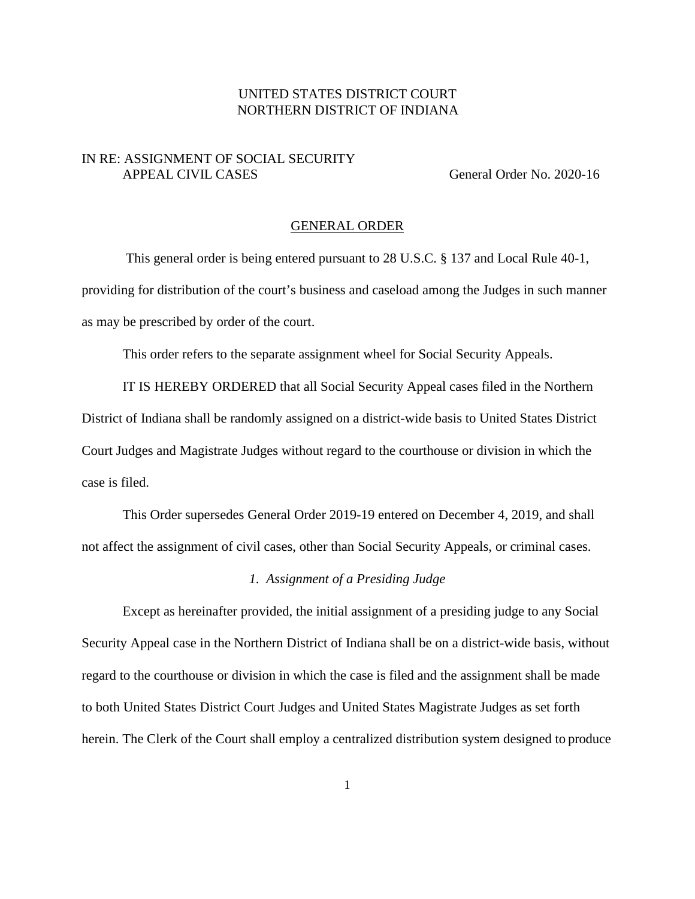# UNITED STATES DISTRICT COURT NORTHERN DISTRICT OF INDIANA

## IN RE: ASSIGNMENT OF SOCIAL SECURITY APPEAL CIVIL CASES General Order No. 2020-16

#### GENERAL ORDER

This general order is being entered pursuant to 28 U.S.C. § 137 and Local Rule 40-1, providing for distribution of the court's business and caseload among the Judges in such manner as may be prescribed by order of the court.

This order refers to the separate assignment wheel for Social Security Appeals.

IT IS HEREBY ORDERED that all Social Security Appeal cases filed in the Northern District of Indiana shall be randomly assigned on a district-wide basis to United States District Court Judges and Magistrate Judges without regard to the courthouse or division in which the case is filed.

This Order supersedes General Order 2019-19 entered on December 4, 2019, and shall not affect the assignment of civil cases, other than Social Security Appeals, or criminal cases.

#### *1. Assignment of a Presiding Judge*

Except as hereinafter provided, the initial assignment of a presiding judge to any Social Security Appeal case in the Northern District of Indiana shall be on a district-wide basis, without regard to the courthouse or division in which the case is filed and the assignment shall be made to both United States District Court Judges and United States Magistrate Judges as set forth herein. The Clerk of the Court shall employ a centralized distribution system designed to produce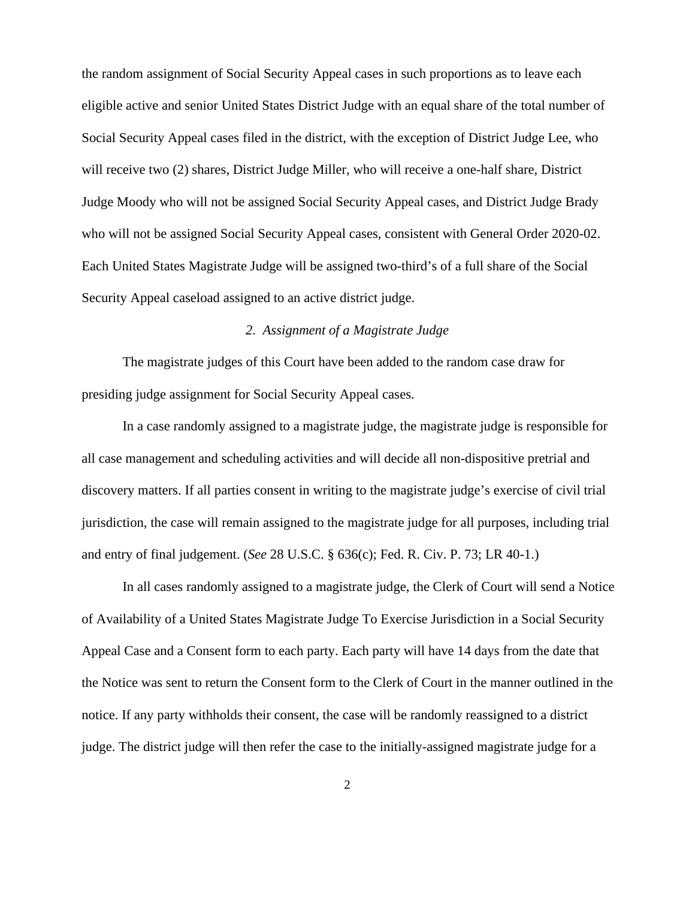the random assignment of Social Security Appeal cases in such proportions as to leave each eligible active and senior United States District Judge with an equal share of the total number of Social Security Appeal cases filed in the district, with the exception of District Judge Lee, who will receive two (2) shares, District Judge Miller, who will receive a one-half share, District Judge Moody who will not be assigned Social Security Appeal cases, and District Judge Brady who will not be assigned Social Security Appeal cases, consistent with General Order 2020-02. Each United States Magistrate Judge will be assigned two-third's of a full share of the Social Security Appeal caseload assigned to an active district judge.

## *2. Assignment of a Magistrate Judge*

The magistrate judges of this Court have been added to the random case draw for presiding judge assignment for Social Security Appeal cases.

In a case randomly assigned to a magistrate judge, the magistrate judge is responsible for all case management and scheduling activities and will decide all non-dispositive pretrial and discovery matters. If all parties consent in writing to the magistrate judge's exercise of civil trial jurisdiction, the case will remain assigned to the magistrate judge for all purposes, including trial and entry of final judgement. (*See* 28 U.S.C. § 636(c); Fed. R. Civ. P. 73; LR 40-1.)

In all cases randomly assigned to a magistrate judge, the Clerk of Court will send a Notice of Availability of a United States Magistrate Judge To Exercise Jurisdiction in a Social Security Appeal Case and a Consent form to each party. Each party will have 14 days from the date that the Notice was sent to return the Consent form to the Clerk of Court in the manner outlined in the notice. If any party withholds their consent, the case will be randomly reassigned to a district judge. The district judge will then refer the case to the initially-assigned magistrate judge for a